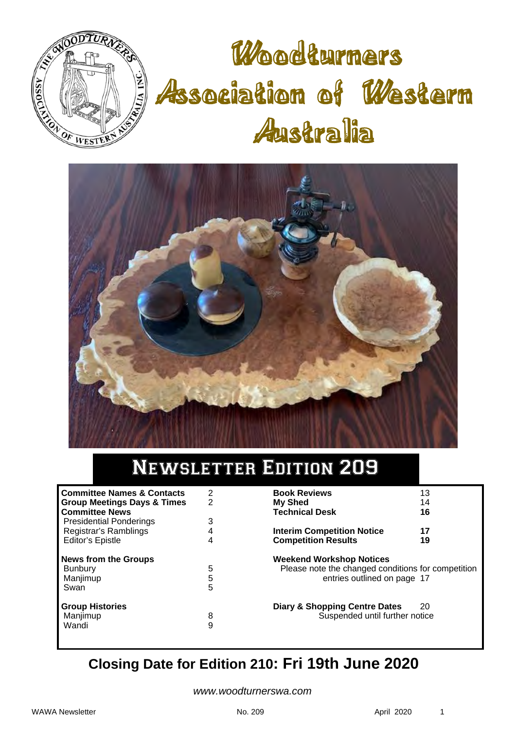

# Woodturners Association of Western Australia



# Newsletter Edition 209

| <b>Committee Names &amp; Contacts</b><br><b>Group Meetings Days &amp; Times</b><br><b>Committee News</b> | 2<br>2      |
|----------------------------------------------------------------------------------------------------------|-------------|
| <b>Presidential Ponderings</b><br>Registrar's Ramblings                                                  | 3<br>4      |
| Editor's Epistle                                                                                         | 4           |
| <b>News from the Groups</b><br><b>Bunbury</b><br>Manjimup<br>Swan                                        | 5<br>5<br>5 |
| <b>Group Histories</b><br>Manjimup<br>Wandi                                                              | 8<br>g      |

| <b>Book Reviews</b>                                                                                                  | 13       |
|----------------------------------------------------------------------------------------------------------------------|----------|
| <b>My Shed</b>                                                                                                       | 14       |
| <b>Technical Desk</b>                                                                                                | 16       |
| <b>Interim Competition Notice</b><br><b>Competition Results</b>                                                      | 17<br>19 |
| <b>Weekend Workshop Notices</b><br>Please note the changed conditions for competition<br>entries outlined on page 17 |          |
| Diary & Shopping Centre Dates<br>Suspended until further notice                                                      | 20       |

# **Closing Date for Edition 210: Fri 19th June 2020**

*www.woodturnerswa.com*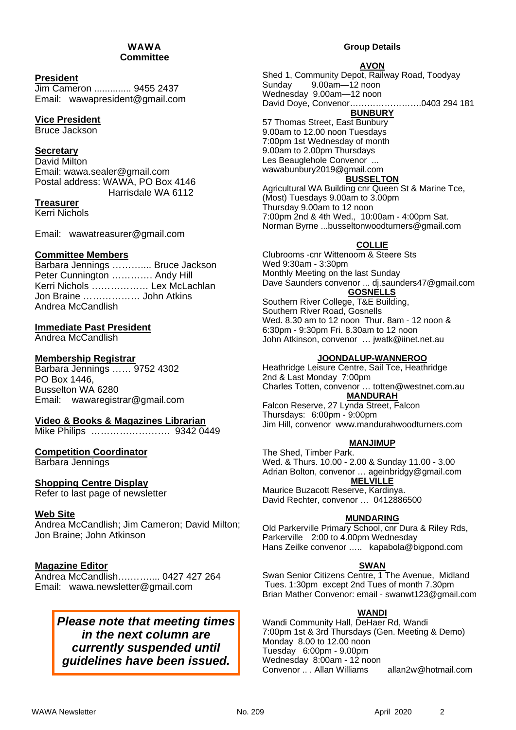#### WAWA **Committee**

### **President**

Jim Cameron .............. 9455 2437 Email: wawapresident@gmail.com

### **Vice President**

Bruce Jackson

### **Secretary**

David Milton Email: wawa.sealer@gmail.com Postal address: WAWA, PO Box 4146 Harrisdale WA 6112

### **Treasurer**

Kerri Nichols

Email: wawatreasurer@gmail.com

### **Committee Members**

Barbara Jennings ……….... Bruce Jackson Peter Cunnington …………. Andy Hill Kerri Nichols ……………… Lex McLachlan Jon Braine ……………… John Atkins Andrea McCandlish

### **Immediate Past President**

Andrea McCandlish

### **Membership Registrar**

Barbara Jennings …… 9752 4302 PO Box 1446, Busselton WA 6280 Email: wawaregistrar@gmail.com

### **Video & Books & Magazines Librarian**

Mike Philips ……………………. 9342 0449

### **Competition Coordinator**

Barbara Jennings

### **Shopping Centre Display**

Refer to last page of newsletter

### **Web Site**

Andrea McCandlish; Jim Cameron; David Milton; Jon Braine; John Atkinson

### **Magazine Editor**

Andrea McCandlish….…….... 0427 427 264 Email: wawa.newsletter@gmail.com

### *Please note that meeting times in the next column are currently suspended until guidelines have been issued.*

#### **Group Details**

#### **AVON**

Shed 1, Community Depot, Railway Road, Toodyay Sunday 9.00am—12 noon Wednesday 9.00am—12 noon David Doye, Convenor…………………….0403 294 181 **BUNBURY** 

57 Thomas Street, East Bunbury 9.00am to 12.00 noon Tuesdays 7:00pm 1st Wednesday of month 9.00am to 2.00pm Thursdays Les Beauglehole Convenor ... wawabunbury2019@gmail.com

### **BUSSELTON**

Agricultural WA Building cnr Queen St & Marine Tce, (Most) Tuesdays 9.00am to 3.00pm Thursday 9.00am to 12 noon 7:00pm 2nd & 4th Wed., 10:00am - 4:00pm Sat. Norman Byrne ...busseltonwoodturners@gmail.com

### **COLLIE**

Clubrooms -cnr Wittenoom & Steere Sts Wed 9:30am - 3:30pm Monthly Meeting on the last Sunday Dave Saunders convenor ... dj.saunders47@gmail.com **GOSNELLS**  Southern River College, T&E Building,

Southern River Road, Gosnells Wed. 8.30 am to 12 noon Thur. 8am - 12 noon & 6:30pm - 9:30pm Fri. 8.30am to 12 noon John Atkinson, convenor … jwatk@iinet.net.au

### **JOONDALUP-WANNEROO**

Heathridge Leisure Centre, Sail Tce, Heathridge 2nd & Last Monday 7:00pm Charles Totten, convenor … totten@westnet.com.au **MANDURAH** 

Falcon Reserve, 27 Lynda Street, Falcon Thursdays: 6:00pm - 9:00pm Jim Hill, convenor www.mandurahwoodturners.com

### **MANJIMUP**

The Shed, Timber Park. Wed. & Thurs. 10.00 - 2.00 & Sunday 11.00 - 3.00 Adrian Bolton, convenor … ageinbridgy@gmail.com **MELVILLE**  Maurice Buzacott Reserve, Kardinya. David Rechter, convenor … 0412886500

### **MUNDARING**

Old Parkerville Primary School, cnr Dura & Riley Rds, Parkerville 2:00 to 4.00pm Wednesday Hans Zeilke convenor ….. kapabola@bigpond.com

### **SWAN**

Swan Senior Citizens Centre, 1 The Avenue, Midland Tues. 1:30pm except 2nd Tues of month 7.30pm Brian Mather Convenor: email - swanwt123@gmail.com

#### **WANDI**

Wandi Community Hall, DeHaer Rd, Wandi 7:00pm 1st & 3rd Thursdays (Gen. Meeting & Demo) Monday 8.00 to 12.00 noon Tuesday 6:00pm - 9.00pm Wednesday 8:00am - 12 noon Convenor .. . Allan Williams allan2w@hotmail.com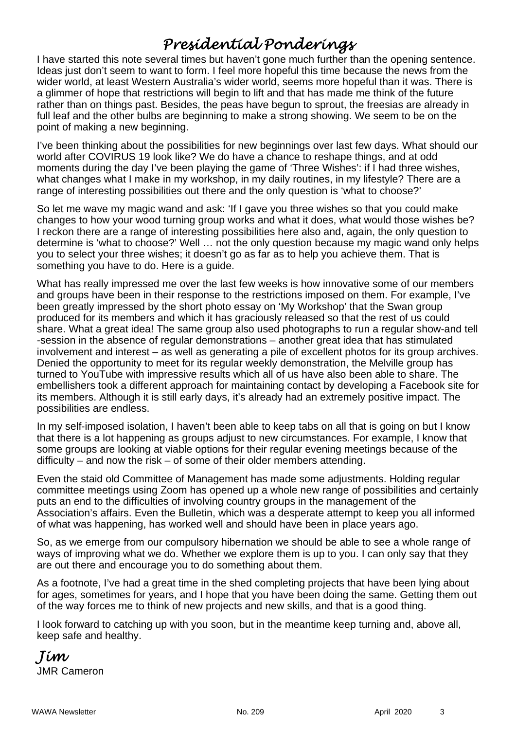# *Presidential Ponderings*

I have started this note several times but haven't gone much further than the opening sentence. Ideas just don't seem to want to form. I feel more hopeful this time because the news from the wider world, at least Western Australia's wider world, seems more hopeful than it was. There is a glimmer of hope that restrictions will begin to lift and that has made me think of the future rather than on things past. Besides, the peas have begun to sprout, the freesias are already in full leaf and the other bulbs are beginning to make a strong showing. We seem to be on the point of making a new beginning.

I've been thinking about the possibilities for new beginnings over last few days. What should our world after COVIRUS 19 look like? We do have a chance to reshape things, and at odd moments during the day I've been playing the game of 'Three Wishes': if I had three wishes, what changes what I make in my workshop, in my daily routines, in my lifestyle? There are a range of interesting possibilities out there and the only question is 'what to choose?'

So let me wave my magic wand and ask: 'If I gave you three wishes so that you could make changes to how your wood turning group works and what it does, what would those wishes be? I reckon there are a range of interesting possibilities here also and, again, the only question to determine is 'what to choose?' Well … not the only question because my magic wand only helps you to select your three wishes; it doesn't go as far as to help you achieve them. That is something you have to do. Here is a guide.

What has really impressed me over the last few weeks is how innovative some of our members and groups have been in their response to the restrictions imposed on them. For example, I've been greatly impressed by the short photo essay on 'My Workshop' that the Swan group produced for its members and which it has graciously released so that the rest of us could share. What a great idea! The same group also used photographs to run a regular show-and tell -session in the absence of regular demonstrations – another great idea that has stimulated involvement and interest – as well as generating a pile of excellent photos for its group archives. Denied the opportunity to meet for its regular weekly demonstration, the Melville group has turned to YouTube with impressive results which all of us have also been able to share. The embellishers took a different approach for maintaining contact by developing a Facebook site for its members. Although it is still early days, it's already had an extremely positive impact. The possibilities are endless.

In my self-imposed isolation, I haven't been able to keep tabs on all that is going on but I know that there is a lot happening as groups adjust to new circumstances. For example, I know that some groups are looking at viable options for their regular evening meetings because of the difficulty – and now the risk – of some of their older members attending.

Even the staid old Committee of Management has made some adjustments. Holding regular committee meetings using Zoom has opened up a whole new range of possibilities and certainly puts an end to the difficulties of involving country groups in the management of the Association's affairs. Even the Bulletin, which was a desperate attempt to keep you all informed of what was happening, has worked well and should have been in place years ago.

So, as we emerge from our compulsory hibernation we should be able to see a whole range of ways of improving what we do. Whether we explore them is up to you. I can only say that they are out there and encourage you to do something about them.

As a footnote, I've had a great time in the shed completing projects that have been lying about for ages, sometimes for years, and I hope that you have been doing the same. Getting them out of the way forces me to think of new projects and new skills, and that is a good thing.

I look forward to catching up with you soon, but in the meantime keep turning and, above all, keep safe and healthy.

*Jim*  JMR Cameron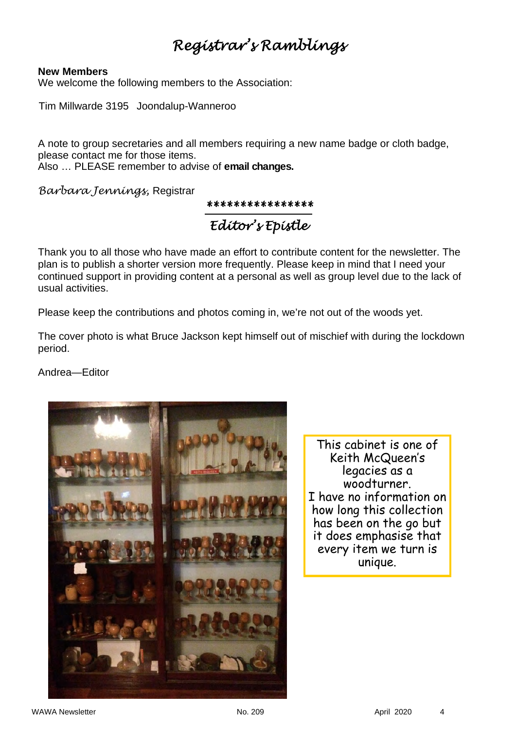# *Registrar's Ramblings*

### **New Members**

We welcome the following members to the Association:

Tim Millwarde 3195 Joondalup-Wanneroo

A note to group secretaries and all members requiring a new name badge or cloth badge, please contact me for those items.

Also … PLEASE remember to advise of **email changes.** 

*Barbara Jennings,* Registrar

*\*\*\*\*\*\*\*\*\*\*\*\*\*\*\*\**

*Editor's Epistle* 

Thank you to all those who have made an effort to contribute content for the newsletter. The plan is to publish a shorter version more frequently. Please keep in mind that I need your continued support in providing content at a personal as well as group level due to the lack of usual activities.

Please keep the contributions and photos coming in, we're not out of the woods yet.

The cover photo is what Bruce Jackson kept himself out of mischief with during the lockdown period.

Andrea—Editor



This cabinet is one of Keith McQueen's legacies as a woodturner. I have no information on how long this collection has been on the go but it does emphasise that every item we turn is unique.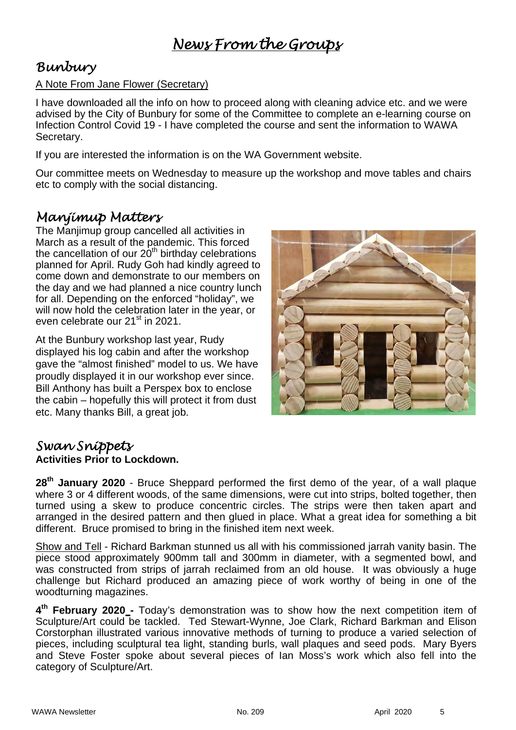# *Bunbury*

### A Note From Jane Flower (Secretary)

I have downloaded all the info on how to proceed along with cleaning advice etc. and we were advised by the City of Bunbury for some of the Committee to complete an e-learning course on Infection Control Covid 19 - I have completed the course and sent the information to WAWA Secretary.

If you are interested the information is on the WA Government website.

Our committee meets on Wednesday to measure up the workshop and move tables and chairs etc to comply with the social distancing.

### *Manjimup Matters*

The Manjimup group cancelled all activities in March as a result of the pandemic. This forced the cancellation of our  $20<sup>th</sup>$  birthday celebrations planned for April. Rudy Goh had kindly agreed to come down and demonstrate to our members on the day and we had planned a nice country lunch for all. Depending on the enforced "holiday", we will now hold the celebration later in the year, or even celebrate our 21<sup>st</sup> in 2021.

At the Bunbury workshop last year, Rudy displayed his log cabin and after the workshop gave the "almost finished" model to us. We have proudly displayed it in our workshop ever since. Bill Anthony has built a Perspex box to enclose the cabin – hopefully this will protect it from dust etc. Many thanks Bill, a great job.



### *Swan Snippets*  **Activities Prior to Lockdown.**

**28th January 2020** - Bruce Sheppard performed the first demo of the year, of a wall plaque where 3 or 4 different woods, of the same dimensions, were cut into strips, bolted together, then turned using a skew to produce concentric circles. The strips were then taken apart and arranged in the desired pattern and then glued in place. What a great idea for something a bit different. Bruce promised to bring in the finished item next week.

Show and Tell - Richard Barkman stunned us all with his commissioned jarrah vanity basin. The piece stood approximately 900mm tall and 300mm in diameter, with a segmented bowl, and was constructed from strips of jarrah reclaimed from an old house. It was obviously a huge challenge but Richard produced an amazing piece of work worthy of being in one of the woodturning magazines.

**4th February 2020 -** Today's demonstration was to show how the next competition item of Sculpture/Art could be tackled. Ted Stewart-Wynne, Joe Clark, Richard Barkman and Elison Corstorphan illustrated various innovative methods of turning to produce a varied selection of pieces, including sculptural tea light, standing burls, wall plaques and seed pods. Mary Byers and Steve Foster spoke about several pieces of Ian Moss's work which also fell into the category of Sculpture/Art.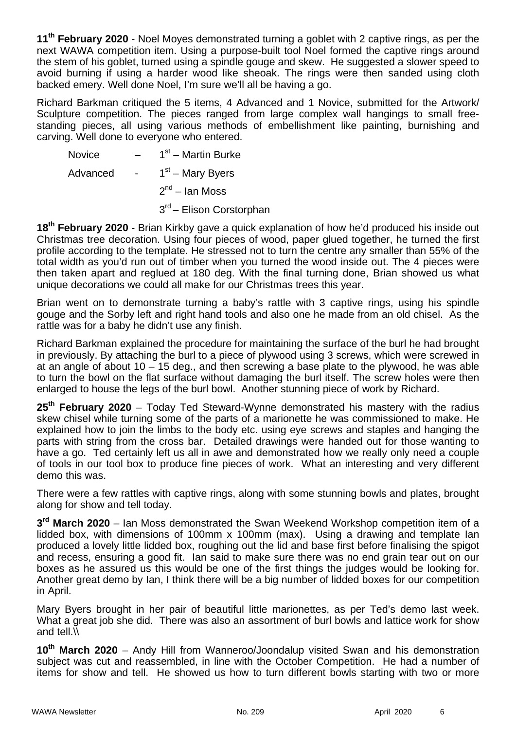**11th February 2020** - Noel Moyes demonstrated turning a goblet with 2 captive rings, as per the next WAWA competition item. Using a purpose-built tool Noel formed the captive rings around the stem of his goblet, turned using a spindle gouge and skew. He suggested a slower speed to avoid burning if using a harder wood like sheoak. The rings were then sanded using cloth backed emery. Well done Noel, I'm sure we'll all be having a go.

Richard Barkman critiqued the 5 items, 4 Advanced and 1 Novice, submitted for the Artwork/ Sculpture competition. The pieces ranged from large complex wall hangings to small freestanding pieces, all using various methods of embellishment like painting, burnishing and carving. Well done to everyone who entered.

Novice  $-$  1<sup>st</sup> – Martin Burke Advanced -  $1<sup>st</sup>$  – Mary Byers  $2<sup>nd</sup>$  – Ian Moss 3<sup>rd</sup> – Elison Corstorphan

**18th February 2020** - Brian Kirkby gave a quick explanation of how he'd produced his inside out Christmas tree decoration. Using four pieces of wood, paper glued together, he turned the first profile according to the template. He stressed not to turn the centre any smaller than 55% of the total width as you'd run out of timber when you turned the wood inside out. The 4 pieces were then taken apart and reglued at 180 deg. With the final turning done, Brian showed us what unique decorations we could all make for our Christmas trees this year.

Brian went on to demonstrate turning a baby's rattle with 3 captive rings, using his spindle gouge and the Sorby left and right hand tools and also one he made from an old chisel. As the rattle was for a baby he didn't use any finish.

Richard Barkman explained the procedure for maintaining the surface of the burl he had brought in previously. By attaching the burl to a piece of plywood using 3 screws, which were screwed in at an angle of about 10 – 15 deg., and then screwing a base plate to the plywood, he was able to turn the bowl on the flat surface without damaging the burl itself. The screw holes were then enlarged to house the legs of the burl bowl. Another stunning piece of work by Richard.

**25th February 2020** – Today Ted Steward-Wynne demonstrated his mastery with the radius skew chisel while turning some of the parts of a marionette he was commissioned to make. He explained how to join the limbs to the body etc. using eye screws and staples and hanging the parts with string from the cross bar. Detailed drawings were handed out for those wanting to have a go. Ted certainly left us all in awe and demonstrated how we really only need a couple of tools in our tool box to produce fine pieces of work. What an interesting and very different demo this was.

There were a few rattles with captive rings, along with some stunning bowls and plates, brought along for show and tell today.

**3rd March 2020** – Ian Moss demonstrated the Swan Weekend Workshop competition item of a lidded box, with dimensions of 100mm x 100mm (max). Using a drawing and template Ian produced a lovely little lidded box, roughing out the lid and base first before finalising the spigot and recess, ensuring a good fit. Ian said to make sure there was no end grain tear out on our boxes as he assured us this would be one of the first things the judges would be looking for. Another great demo by Ian, I think there will be a big number of lidded boxes for our competition in April.

Mary Byers brought in her pair of beautiful little marionettes, as per Ted's demo last week. What a great job she did. There was also an assortment of burl bowls and lattice work for show and tell.\\

10<sup>th</sup> March 2020 – Andy Hill from Wanneroo/Joondalup visited Swan and his demonstration subject was cut and reassembled, in line with the October Competition. He had a number of items for show and tell. He showed us how to turn different bowls starting with two or more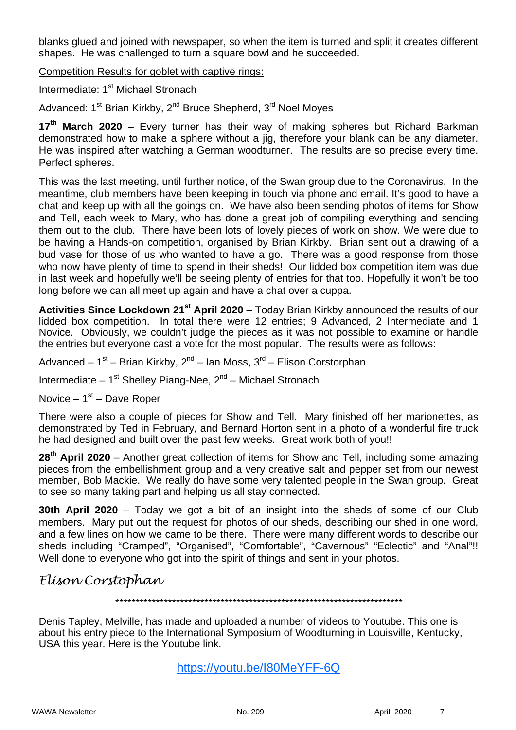blanks glued and joined with newspaper, so when the item is turned and split it creates different shapes. He was challenged to turn a square bowl and he succeeded.

Competition Results for goblet with captive rings:

Intermediate: 1<sup>st</sup> Michael Stronach

Advanced: 1<sup>st</sup> Brian Kirkby, 2<sup>nd</sup> Bruce Shepherd, 3<sup>rd</sup> Noel Moyes

17<sup>th</sup> March 2020 – Every turner has their way of making spheres but Richard Barkman demonstrated how to make a sphere without a jig, therefore your blank can be any diameter. He was inspired after watching a German woodturner. The results are so precise every time. Perfect spheres.

This was the last meeting, until further notice, of the Swan group due to the Coronavirus. In the meantime, club members have been keeping in touch via phone and email. It's good to have a chat and keep up with all the goings on. We have also been sending photos of items for Show and Tell, each week to Mary, who has done a great job of compiling everything and sending them out to the club. There have been lots of lovely pieces of work on show. We were due to be having a Hands-on competition, organised by Brian Kirkby. Brian sent out a drawing of a bud vase for those of us who wanted to have a go. There was a good response from those who now have plenty of time to spend in their sheds! Our lidded box competition item was due in last week and hopefully we'll be seeing plenty of entries for that too. Hopefully it won't be too long before we can all meet up again and have a chat over a cuppa.

**Activities Since Lockdown 21st April 2020** – Today Brian Kirkby announced the results of our lidded box competition. In total there were 12 entries; 9 Advanced, 2 Intermediate and 1 Novice. Obviously, we couldn't judge the pieces as it was not possible to examine or handle the entries but everyone cast a vote for the most popular. The results were as follows:

Advanced –  $1^{st}$  – Brian Kirkby,  $2^{nd}$  – Ian Moss,  $3^{rd}$  – Elison Corstorphan

Intermediate –  $1^{st}$  Shelley Piang-Nee,  $2^{nd}$  – Michael Stronach

Novice –  $1<sup>st</sup>$  – Dave Roper

There were also a couple of pieces for Show and Tell. Mary finished off her marionettes, as demonstrated by Ted in February, and Bernard Horton sent in a photo of a wonderful fire truck he had designed and built over the past few weeks. Great work both of you!!

**28th April 2020** – Another great collection of items for Show and Tell, including some amazing pieces from the embellishment group and a very creative salt and pepper set from our newest member, Bob Mackie. We really do have some very talented people in the Swan group. Great to see so many taking part and helping us all stay connected.

**30th April 2020** – Today we got a bit of an insight into the sheds of some of our Club members. Mary put out the request for photos of our sheds, describing our shed in one word, and a few lines on how we came to be there. There were many different words to describe our sheds including "Cramped", "Organised", "Comfortable", "Cavernous" "Eclectic" and "Anal"!! Well done to everyone who got into the spirit of things and sent in your photos.

### *Elison Corstophan*

*\*\*\*\*\*\*\*\*\*\*\*\*\*\*\*\*\*\*\*\*\*\*\*\*\*\*\*\*\*\*\*\*\*\*\*\*\*\*\*\*\*\*\*\*\*\*\*\*\*\*\*\*\*\*\*\*\*\*\*\*\*\*\*\*\*\*\*\*\*\*\** 

Denis Tapley, Melville, has made and uploaded a number of videos to Youtube. This one is about his entry piece to the International Symposium of Woodturning in Louisville, Kentucky, USA this year. Here is the Youtube link.

https://youtu.be/I80MeYFF-6Q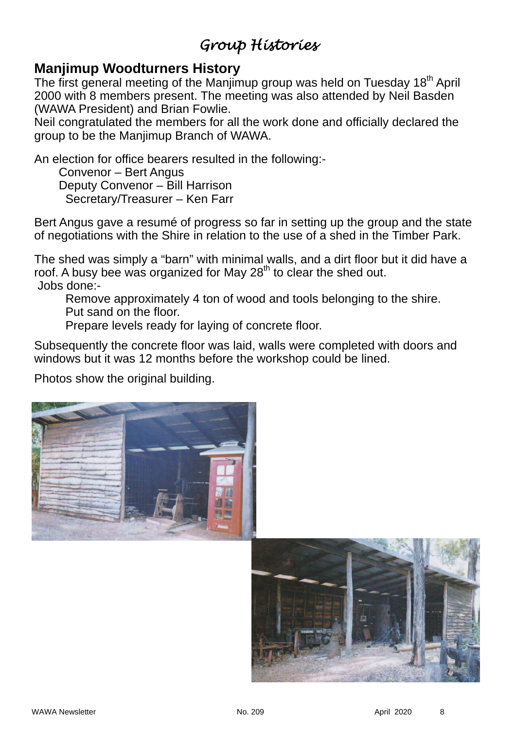# *Group Histories*

## **Manjimup Woodturners History**

The first general meeting of the Manjimup group was held on Tuesday 18<sup>th</sup> April 2000 with 8 members present. The meeting was also attended by Neil Basden (WAWA President) and Brian Fowlie.

Neil congratulated the members for all the work done and officially declared the group to be the Manjimup Branch of WAWA.

An election for office bearers resulted in the following:-

 Convenor – Bert Angus Deputy Convenor – Bill Harrison Secretary/Treasurer – Ken Farr

Bert Angus gave a resumé of progress so far in setting up the group and the state of negotiations with the Shire in relation to the use of a shed in the Timber Park.

The shed was simply a "barn" with minimal walls, and a dirt floor but it did have a roof. A busy bee was organized for May 28<sup>th</sup> to clear the shed out. Jobs done:-

Remove approximately 4 ton of wood and tools belonging to the shire. Put sand on the floor.

Prepare levels ready for laying of concrete floor.

Subsequently the concrete floor was laid, walls were completed with doors and windows but it was 12 months before the workshop could be lined.

Photos show the original building.



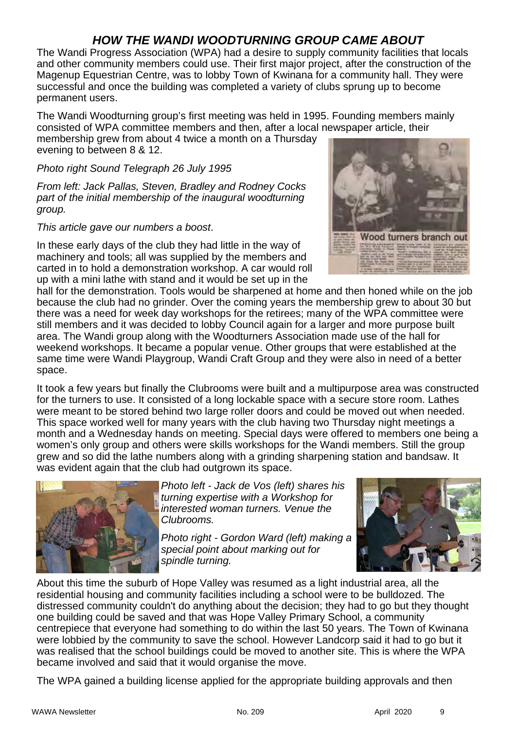### *HOW THE WANDI WOODTURNING GROUP CAME ABOUT*

The Wandi Progress Association (WPA) had a desire to supply community facilities that locals and other community members could use. Their first major project, after the construction of the Magenup Equestrian Centre, was to lobby Town of Kwinana for a community hall. They were successful and once the building was completed a variety of clubs sprung up to become permanent users.

The Wandi Woodturning group's first meeting was held in 1995. Founding members mainly consisted of WPA committee members and then, after a local newspaper article, their membership grew from about 4 twice a month on a Thursday

evening to between 8 & 12.

### *Photo right Sound Telegraph 26 July 1995*

*From left: Jack Pallas, Steven, Bradley and Rodney Cocks part of the initial membership of the inaugural woodturning group.* 

*This article gave our numbers a boost*.

In these early days of the club they had little in the way of machinery and tools; all was supplied by the members and carted in to hold a demonstration workshop. A car would roll up with a mini lathe with stand and it would be set up in the



hall for the demonstration. Tools would be sharpened at home and then honed while on the job because the club had no grinder. Over the coming years the membership grew to about 30 but there was a need for week day workshops for the retirees; many of the WPA committee were still members and it was decided to lobby Council again for a larger and more purpose built area. The Wandi group along with the Woodturners Association made use of the hall for weekend workshops. It became a popular venue. Other groups that were established at the same time were Wandi Playgroup, Wandi Craft Group and they were also in need of a better space.

It took a few years but finally the Clubrooms were built and a multipurpose area was constructed for the turners to use. It consisted of a long lockable space with a secure store room. Lathes were meant to be stored behind two large roller doors and could be moved out when needed. This space worked well for many years with the club having two Thursday night meetings a month and a Wednesday hands on meeting. Special days were offered to members one being a women's only group and others were skills workshops for the Wandi members. Still the group grew and so did the lathe numbers along with a grinding sharpening station and bandsaw. It was evident again that the club had outgrown its space.



*Photo left - Jack de Vos (left) shares his turning expertise with a Workshop for interested woman turners. Venue the Clubrooms.* 

*Photo right - Gordon Ward (left) making a special point about marking out for spindle turning.* 



About this time the suburb of Hope Valley was resumed as a light industrial area, all the residential housing and community facilities including a school were to be bulldozed. The distressed community couldn't do anything about the decision; they had to go but they thought one building could be saved and that was Hope Valley Primary School, a community centrepiece that everyone had something to do within the last 50 years. The Town of Kwinana were lobbied by the community to save the school. However Landcorp said it had to go but it was realised that the school buildings could be moved to another site. This is where the WPA became involved and said that it would organise the move.

The WPA gained a building license applied for the appropriate building approvals and then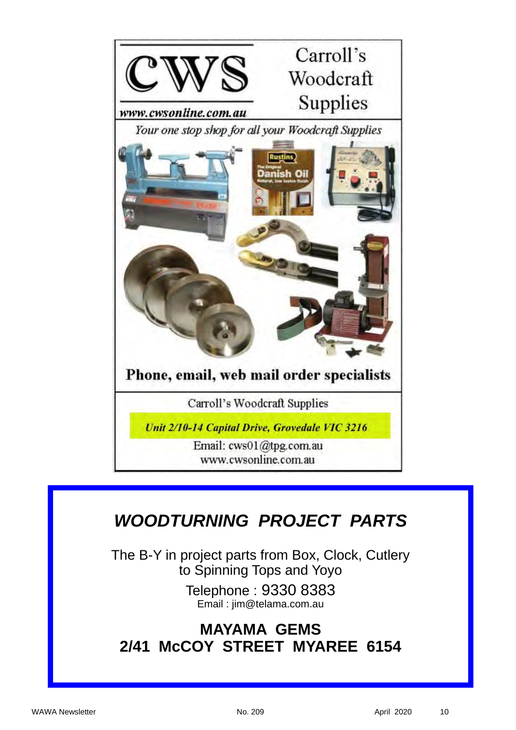

# *WOODTURNING PROJECT PARTS*

The B-Y in project parts from Box, Clock, Cutlery to Spinning Tops and Yoyo

> Telephone : 9330 8383 Email : jim@telama.com.au

# **MAYAMA GEMS 2/41 McCOY STREET MYAREE 6154**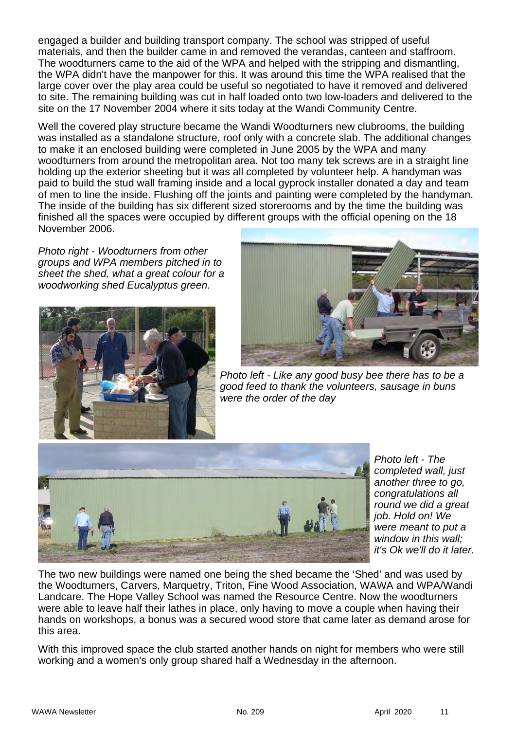engaged a builder and building transport company. The school was stripped of useful materials, and then the builder came in and removed the verandas, canteen and staffroom. The woodturners came to the aid of the WPA and helped with the stripping and dismantling, the WPA didn't have the manpower for this. It was around this time the WPA realised that the large cover over the play area could be useful so negotiated to have it removed and delivered to site. The remaining building was cut in half loaded onto two low-loaders and delivered to the site on the 17 November 2004 where it sits today at the Wandi Community Centre.

Well the covered play structure became the Wandi Woodturners new clubrooms, the building was installed as a standalone structure, roof only with a concrete slab. The additional changes to make it an enclosed building were completed in June 2005 by the WPA and many woodturners from around the metropolitan area. Not too many tek screws are in a straight line holding up the exterior sheeting but it was all completed by volunteer help. A handyman was paid to build the stud wall framing inside and a local gyprock installer donated a day and team of men to line the inside. Flushing off the joints and painting were completed by the handyman. The inside of the building has six different sized storerooms and by the time the building was finished all the spaces were occupied by different groups with the official opening on the 18 November 2006.

*Photo right - Woodturners from other groups and WPA members pitched in to sheet the shed, what a great colour for a woodworking shed Eucalyptus green.* 





*Photo left - Like any good busy bee there has to be a good feed to thank the volunteers, sausage in buns were the order of the day* 



*Photo left - The completed wall, just another three to go, congratulations all round we did a great job. Hold on! We were meant to put a window in this wall; it's Ok we'll do it later*.

The two new buildings were named one being the shed became the 'Shed' and was used by the Woodturners, Carvers, Marquetry, Triton, Fine Wood Association, WAWA and WPA/Wandi Landcare. The Hope Valley School was named the Resource Centre. Now the woodturners were able to leave half their lathes in place, only having to move a couple when having their hands on workshops, a bonus was a secured wood store that came later as demand arose for this area.

With this improved space the club started another hands on night for members who were still working and a women's only group shared half a Wednesday in the afternoon.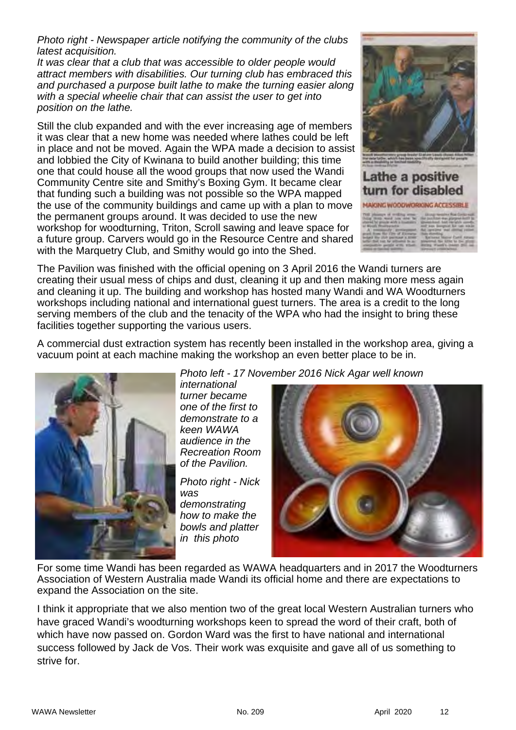*Photo right - Newspaper article notifying the community of the clubs latest acquisition.* 

*It was clear that a club that was accessible to older people would attract members with disabilities. Our turning club has embraced this and purchased a purpose built lathe to make the turning easier along with a special wheelie chair that can assist the user to get into position on the lathe.* 

Still the club expanded and with the ever increasing age of members it was clear that a new home was needed where lathes could be left in place and not be moved. Again the WPA made a decision to assist and lobbied the City of Kwinana to build another building; this time one that could house all the wood groups that now used the Wandi Community Centre site and Smithy's Boxing Gym. It became clear that funding such a building was not possible so the WPA mapped the use of the community buildings and came up with a plan to move the permanent groups around. It was decided to use the new workshop for woodturning, Triton, Scroll sawing and leave space for a future group. Carvers would go in the Resource Centre and shared with the Marquetry Club, and Smithy would go into the Shed.



The Pavilion was finished with the official opening on 3 April 2016 the Wandi turners are creating their usual mess of chips and dust, cleaning it up and then making more mess again and cleaning it up. The building and workshop has hosted many Wandi and WA Woodturners workshops including national and international guest turners. The area is a credit to the long serving members of the club and the tenacity of the WPA who had the insight to bring these facilities together supporting the various users.

A commercial dust extraction system has recently been installed in the workshop area, giving a vacuum point at each machine making the workshop an even better place to be in.



*Photo left - 17 November 2016 Nick Agar well known* 

*international turner became one of the first to demonstrate to a keen WAWA audience in the Recreation Room of the Pavilion.* 

*Photo right - Nick was demonstrating how to make the bowls and platter in this photo*



For some time Wandi has been regarded as WAWA headquarters and in 2017 the Woodturners Association of Western Australia made Wandi its official home and there are expectations to expand the Association on the site.

I think it appropriate that we also mention two of the great local Western Australian turners who have graced Wandi's woodturning workshops keen to spread the word of their craft, both of which have now passed on. Gordon Ward was the first to have national and international success followed by Jack de Vos. Their work was exquisite and gave all of us something to strive for.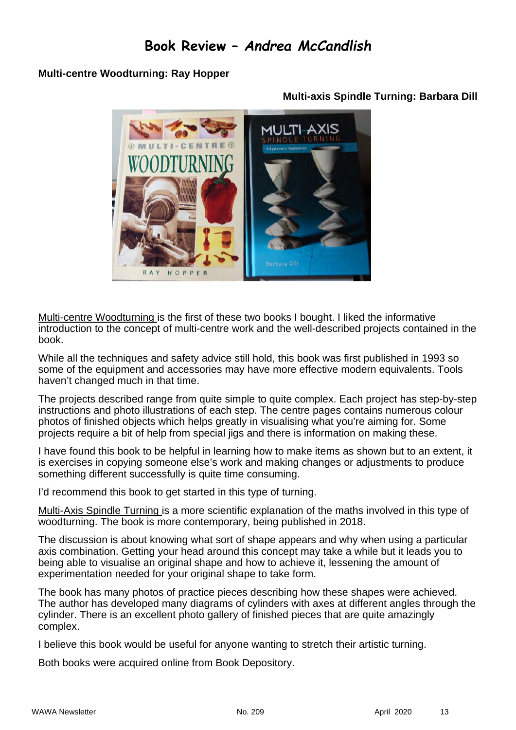## **Book Review –** *Andrea McCandlish*

### **Multi-centre Woodturning: Ray Hopper**



### **Multi-axis Spindle Turning: Barbara Dill**

Multi-centre Woodturning is the first of these two books I bought. I liked the informative introduction to the concept of multi-centre work and the well-described projects contained in the book.

While all the techniques and safety advice still hold, this book was first published in 1993 so some of the equipment and accessories may have more effective modern equivalents. Tools haven't changed much in that time.

The projects described range from quite simple to quite complex. Each project has step-by-step instructions and photo illustrations of each step. The centre pages contains numerous colour photos of finished objects which helps greatly in visualising what you're aiming for. Some projects require a bit of help from special jigs and there is information on making these.

I have found this book to be helpful in learning how to make items as shown but to an extent, it is exercises in copying someone else's work and making changes or adjustments to produce something different successfully is quite time consuming.

I'd recommend this book to get started in this type of turning.

Multi-Axis Spindle Turning is a more scientific explanation of the maths involved in this type of woodturning. The book is more contemporary, being published in 2018.

The discussion is about knowing what sort of shape appears and why when using a particular axis combination. Getting your head around this concept may take a while but it leads you to being able to visualise an original shape and how to achieve it, lessening the amount of experimentation needed for your original shape to take form.

The book has many photos of practice pieces describing how these shapes were achieved. The author has developed many diagrams of cylinders with axes at different angles through the cylinder. There is an excellent photo gallery of finished pieces that are quite amazingly complex.

I believe this book would be useful for anyone wanting to stretch their artistic turning.

Both books were acquired online from Book Depository.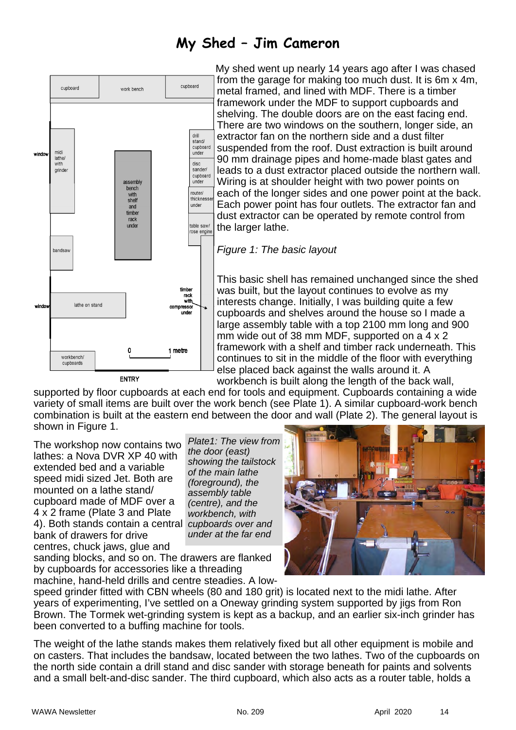# **My Shed – Jim Cameron**



 My shed went up nearly 14 years ago after I was chased from the garage for making too much dust. It is 6m x 4m, metal framed, and lined with MDF. There is a timber framework under the MDF to support cupboards and shelving. The double doors are on the east facing end. There are two windows on the southern, longer side, an extractor fan on the northern side and a dust filter suspended from the roof. Dust extraction is built around 90 mm drainage pipes and home-made blast gates and leads to a dust extractor placed outside the northern wall. Wiring is at shoulder height with two power points on each of the longer sides and one power point at the back. Each power point has four outlets. The extractor fan and dust extractor can be operated by remote control from the larger lathe.

### *Figure 1: The basic layout*

This basic shell has remained unchanged since the shed was built, but the layout continues to evolve as my interests change. Initially, I was building quite a few cupboards and shelves around the house so I made a large assembly table with a top 2100 mm long and 900 mm wide out of 38 mm MDF, supported on a 4 x 2 framework with a shelf and timber rack underneath. This continues to sit in the middle of the floor with everything else placed back against the walls around it. A workbench is built along the length of the back wall,

supported by floor cupboards at each end for tools and equipment. Cupboards containing a wide variety of small items are built over the work bench (see Plate 1). A similar cupboard-work bench combination is built at the eastern end between the door and wall (Plate 2). The general layout is shown in Figure 1.

The workshop now contains two lathes: a Nova DVR XP 40 with extended bed and a variable speed midi sized Jet. Both are mounted on a lathe stand/ cupboard made of MDF over a 4 x 2 frame (Plate 3 and Plate 4). Both stands contain a central *cupboards over and*  bank of drawers for drive centres, chuck jaws, glue and

*Plate1: The view from the door (east) showing the tailstock of the main lathe (foreground), the assembly table (centre), and the workbench, with under at the far end*

sanding blocks, and so on. The drawers are flanked by cupboards for accessories like a threading machine, hand-held drills and centre steadies. A low-



speed grinder fitted with CBN wheels (80 and 180 grit) is located next to the midi lathe. After years of experimenting, I've settled on a Oneway grinding system supported by jigs from Ron Brown. The Tormek wet-grinding system is kept as a backup, and an earlier six-inch grinder has been converted to a buffing machine for tools.

The weight of the lathe stands makes them relatively fixed but all other equipment is mobile and on casters. That includes the bandsaw, located between the two lathes. Two of the cupboards on the north side contain a drill stand and disc sander with storage beneath for paints and solvents and a small belt-and-disc sander. The third cupboard, which also acts as a router table, holds a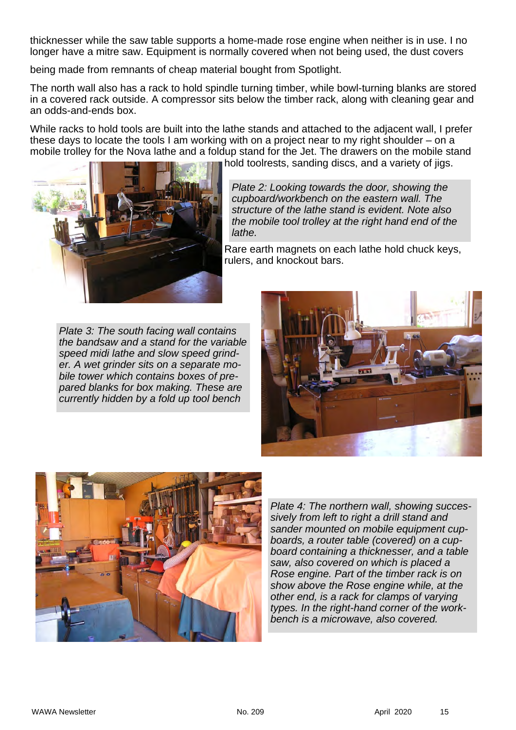thicknesser while the saw table supports a home-made rose engine when neither is in use. I no longer have a mitre saw. Equipment is normally covered when not being used, the dust covers

being made from remnants of cheap material bought from Spotlight.

The north wall also has a rack to hold spindle turning timber, while bowl-turning blanks are stored in a covered rack outside. A compressor sits below the timber rack, along with cleaning gear and an odds-and-ends box.

While racks to hold tools are built into the lathe stands and attached to the adjacent wall, I prefer these days to locate the tools I am working with on a project near to my right shoulder – on a mobile trolley for the Nova lathe and a foldup stand for the Jet. The drawers on the mobile stand hold toolrests, sanding discs, and a variety of jigs.



*Plate 2: Looking towards the door, showing the cupboard/workbench on the eastern wall. The structure of the lathe stand is evident. Note also the mobile tool trolley at the right hand end of the lathe.* 

Rare earth magnets on each lathe hold chuck keys, rulers, and knockout bars.

*Plate 3: The south facing wall contains the bandsaw and a stand for the variable speed midi lathe and slow speed grinder. A wet grinder sits on a separate mobile tower which contains boxes of prepared blanks for box making. These are currently hidden by a fold up tool bench* 





*Plate 4: The northern wall, showing successively from left to right a drill stand and sander mounted on mobile equipment cupboards, a router table (covered) on a cupboard containing a thicknesser, and a table saw, also covered on which is placed a Rose engine. Part of the timber rack is on show above the Rose engine while, at the other end, is a rack for clamps of varying types. In the right-hand corner of the workbench is a microwave, also covered.*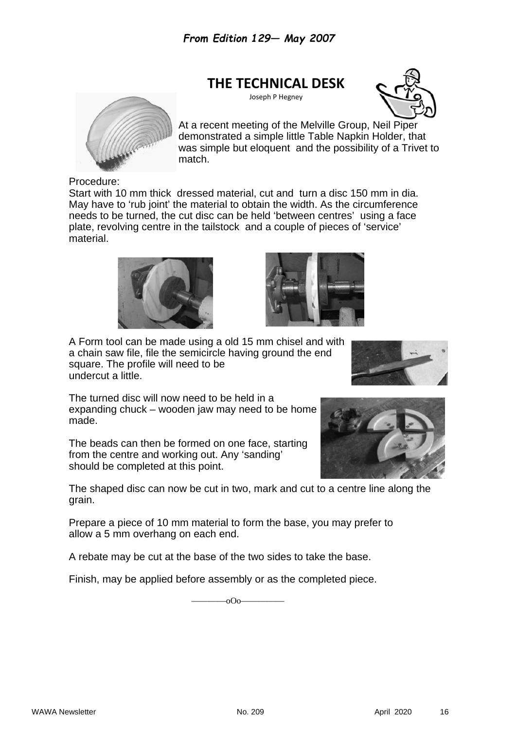### **THE TECHNICAL DESK**

Joseph P Hegney





At a recent meeting of the Melville Group, Neil Piper demonstrated a simple little Table Napkin Holder, that was simple but eloquent and the possibility of a Trivet to match.

Procedure:

Start with 10 mm thick dressed material, cut and turn a disc 150 mm in dia. May have to 'rub joint' the material to obtain the width. As the circumference needs to be turned, the cut disc can be held 'between centres' using a face plate, revolving centre in the tailstock and a couple of pieces of 'service' material.





A Form tool can be made using a old 15 mm chisel and with a chain saw file, file the semicircle having ground the end square. The profile will need to be undercut a little.



The turned disc will now need to be held in a expanding chuck – wooden jaw may need to be home made.

The beads can then be formed on one face, starting from the centre and working out. Any 'sanding' should be completed at this point.

The shaped disc can now be cut in two, mark and cut to a centre line along the grain.

Prepare a piece of 10 mm material to form the base, you may prefer to allow a 5 mm overhang on each end.

A rebate may be cut at the base of the two sides to take the base.

Finish, may be applied before assembly or as the completed piece.

 $\overline{\hspace{1.5cm}000}$ 

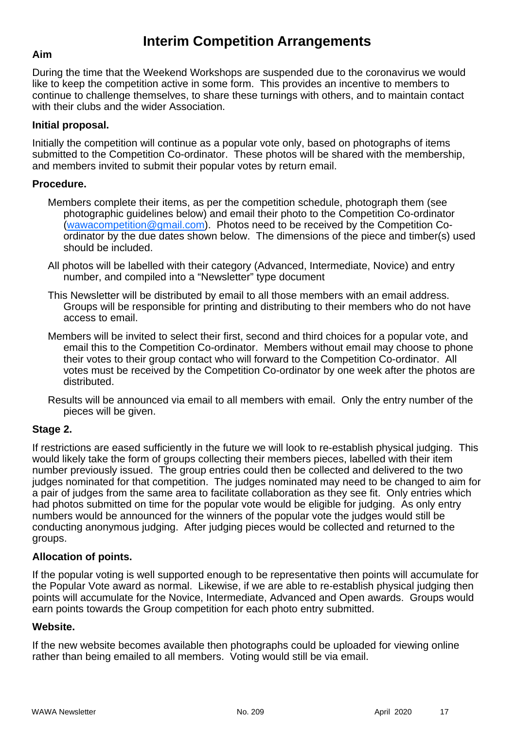# **Interim Competition Arrangements**

### **Aim**

During the time that the Weekend Workshops are suspended due to the coronavirus we would like to keep the competition active in some form. This provides an incentive to members to continue to challenge themselves, to share these turnings with others, and to maintain contact with their clubs and the wider Association.

### **Initial proposal.**

Initially the competition will continue as a popular vote only, based on photographs of items submitted to the Competition Co-ordinator. These photos will be shared with the membership, and members invited to submit their popular votes by return email.

### **Procedure.**

- Members complete their items, as per the competition schedule, photograph them (see photographic guidelines below) and email their photo to the Competition Co-ordinator (wawacompetition@gmail.com). Photos need to be received by the Competition Coordinator by the due dates shown below. The dimensions of the piece and timber(s) used should be included.
- All photos will be labelled with their category (Advanced, Intermediate, Novice) and entry number, and compiled into a "Newsletter" type document
- This Newsletter will be distributed by email to all those members with an email address. Groups will be responsible for printing and distributing to their members who do not have access to email.
- Members will be invited to select their first, second and third choices for a popular vote, and email this to the Competition Co-ordinator. Members without email may choose to phone their votes to their group contact who will forward to the Competition Co-ordinator. All votes must be received by the Competition Co-ordinator by one week after the photos are distributed.
- Results will be announced via email to all members with email. Only the entry number of the pieces will be given.

### **Stage 2.**

If restrictions are eased sufficiently in the future we will look to re-establish physical judging. This would likely take the form of groups collecting their members pieces, labelled with their item number previously issued. The group entries could then be collected and delivered to the two judges nominated for that competition. The judges nominated may need to be changed to aim for a pair of judges from the same area to facilitate collaboration as they see fit. Only entries which had photos submitted on time for the popular vote would be eligible for judging. As only entry numbers would be announced for the winners of the popular vote the judges would still be conducting anonymous judging. After judging pieces would be collected and returned to the groups.

### **Allocation of points.**

If the popular voting is well supported enough to be representative then points will accumulate for the Popular Vote award as normal. Likewise, if we are able to re-establish physical judging then points will accumulate for the Novice, Intermediate, Advanced and Open awards. Groups would earn points towards the Group competition for each photo entry submitted.

### **Website.**

If the new website becomes available then photographs could be uploaded for viewing online rather than being emailed to all members. Voting would still be via email.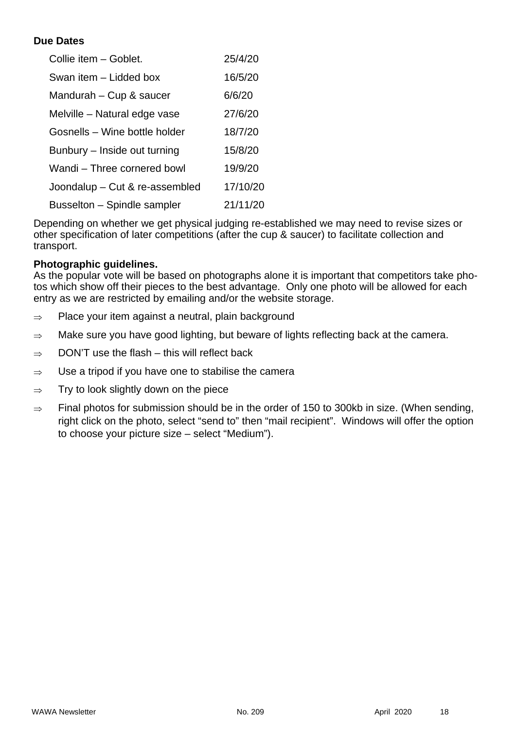### **Due Dates**

| Collie item - Goblet.          | 25/4/20  |
|--------------------------------|----------|
| Swan item - Lidded box         | 16/5/20  |
| Mandurah – Cup & saucer        | 6/6/20   |
| Melville – Natural edge vase   | 27/6/20  |
| Gosnells - Wine bottle holder  | 18/7/20  |
| Bunbury – Inside out turning   | 15/8/20  |
| Wandi – Three cornered bowl    | 19/9/20  |
| Joondalup - Cut & re-assembled | 17/10/20 |
| Busselton - Spindle sampler    | 21/11/20 |

Depending on whether we get physical judging re-established we may need to revise sizes or other specification of later competitions (after the cup & saucer) to facilitate collection and transport.

### **Photographic guidelines.**

As the popular vote will be based on photographs alone it is important that competitors take photos which show off their pieces to the best advantage. Only one photo will be allowed for each entry as we are restricted by emailing and/or the website storage.

- $\Rightarrow$  Place your item against a neutral, plain background
- $\Rightarrow$  Make sure you have good lighting, but beware of lights reflecting back at the camera.
- $\Rightarrow$  DON'T use the flash this will reflect back
- $\Rightarrow$  Use a tripod if you have one to stabilise the camera
- $\Rightarrow$  Try to look slightly down on the piece
- $\Rightarrow$  Final photos for submission should be in the order of 150 to 300kb in size. (When sending, right click on the photo, select "send to" then "mail recipient". Windows will offer the option to choose your picture size – select "Medium").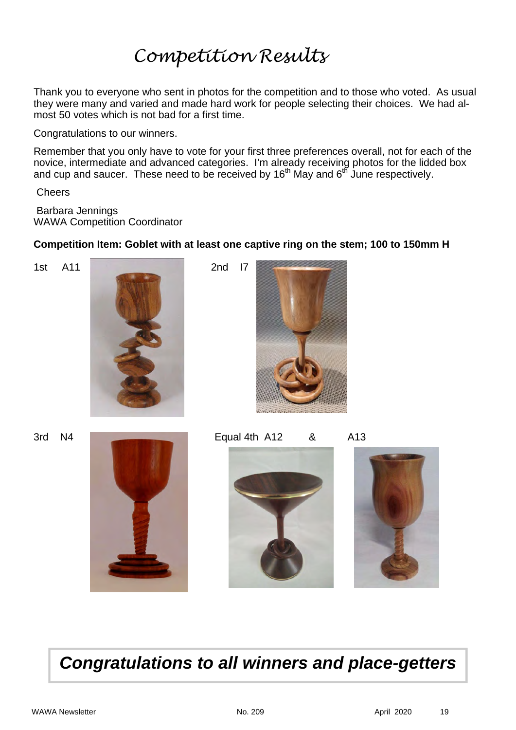# *Competition Results*

Thank you to everyone who sent in photos for the competition and to those who voted. As usual they were many and varied and made hard work for people selecting their choices. We had almost 50 votes which is not bad for a first time.

Congratulations to our winners.

Remember that you only have to vote for your first three preferences overall, not for each of the novice, intermediate and advanced categories. I'm already receiving photos for the lidded box and cup and saucer. These need to be received by  $16<sup>th</sup>$  May and  $6<sup>th</sup>$  June respectively.

**Cheers** 

 Barbara Jennings WAWA Competition Coordinator

**Competition Item: Goblet with at least one captive ring on the stem; 100 to 150mm H**











*Congratulations to all winners and place-getters*